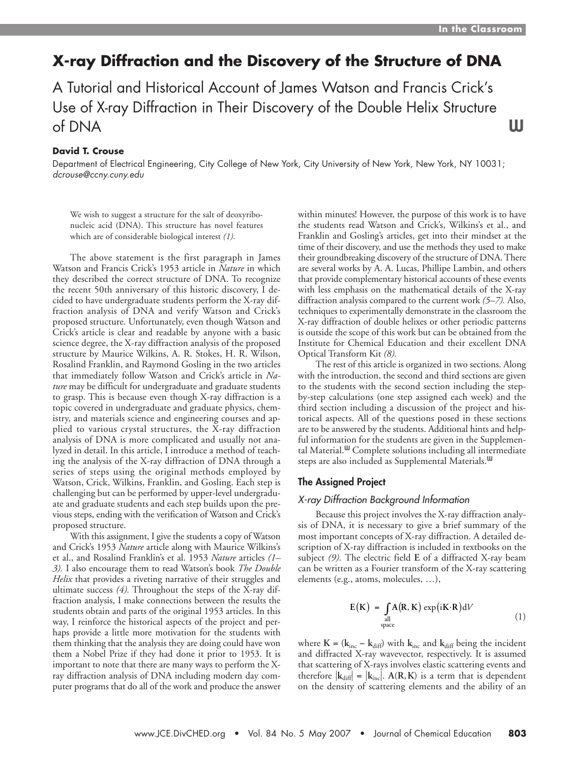# **X-ray Diffraction and the Discovery of the Structure of DNA**

A Tutorial and Historical Account of James Watson and Francis Crick's Use of X-ray Diffraction in Their Discovery of the Double Helix Structure of DNA [W](http://www.jce.divched.org/Journal/Issues/2007/May/abs803.html)EIGHT AND THE CONTROL OF THE CONTROL OF THE CONTROL OF THE CONTROL OF THE CONTROL OF THE CONTROL OF TH

# **David T. Crouse**

Department of Electrical Engineering, City College of New York, City University of New York, New York, NY 10031; dcrouse@ccny.cuny.edu

We wish to suggest a structure for the salt of deoxyribonucleic acid (DNA). This structure has novel features which are of considerable biological interest *(1).*

The above statement is the first paragraph in James Watson and Francis Crick's 1953 article in *Nature* in which they described the correct structure of DNA. To recognize the recent 50th anniversary of this historic discovery, I decided to have undergraduate students perform the X-ray diffraction analysis of DNA and verify Watson and Crick's proposed structure. Unfortunately, even though Watson and Crick's article is clear and readable by anyone with a basic science degree, the X-ray diffraction analysis of the proposed structure by Maurice Wilkins, A. R. Stokes, H. R. Wilson, Rosalind Franklin, and Raymond Gosling in the two articles that immediately follow Watson and Crick's article in *Nature* may be difficult for undergraduate and graduate students to grasp. This is because even though X-ray diffraction is a topic covered in undergraduate and graduate physics, chemistry, and materials science and engineering courses and applied to various crystal structures, the X-ray diffraction analysis of DNA is more complicated and usually not analyzed in detail. In this article, I introduce a method of teaching the analysis of the X-ray diffraction of DNA through a series of steps using the original methods employed by Watson, Crick, Wilkins, Franklin, and Gosling. Each step is challenging but can be performed by upper-level undergraduate and graduate students and each step builds upon the previous steps, ending with the verification of Watson and Crick's proposed structure.

With this assignment, I give the students a copy of Watson and Crick's 1953 *Nature* article along with Maurice Wilkins's et al., and Rosalind Franklin's et al. 1953 *Nature* articles *(1– 3).* I also encourage them to read Watson's book *The Double Helix* that provides a riveting narrative of their struggles and ultimate success *(4).* Throughout the steps of the X-ray diffraction analysis, I make connections between the results the students obtain and parts of the original 1953 articles. In this way, I reinforce the historical aspects of the project and perhaps provide a little more motivation for the students with them thinking that the analysis they are doing could have won them a Nobel Prize if they had done it prior to 1953. It is important to note that there are many ways to perform the Xray diffraction analysis of DNA including modern day computer programs that do all of the work and produce the answer

within minutes! However, the purpose of this work is to have the students read Watson and Crick's, Wilkins's et al., and Franklin and Gosling's articles, get into their mindset at the time of their discovery, and use the methods they used to make their groundbreaking discovery of the structure of DNA. There are several works by A. A. Lucas, Phillipe Lambin, and others that provide complementary historical accounts of these events with less emphasis on the mathematical details of the X-ray diffraction analysis compared to the current work *(5–7).* Also, techniques to experimentally demonstrate in the classroom the X-ray diffraction of double helixes or other periodic patterns is outside the scope of this work but can be obtained from the Institute for Chemical Education and their excellent DNA Optical Transform Kit *(8).*

The rest of this article is organized in two sections. Along with the introduction, the second and third sections are given to the students with the second section including the stepby-step calculations (one step assigned each week) and the third section including a discussion of the project and historical aspects. All of the questions posed in these sections are to be answered by the students. Additional hints and helpful information for the students are given in the Supplemental Material.<sup>W</sup> Complete solutions including all intermediate steps are also included as Supplemental Materials.<sup>W</sup>

# **The Assigned Project**

## X-ray Diffraction Background Information

Because this project involves the X-ray diffraction analysis of DNA, it is necessary to give a brief summary of the most important concepts of X-ray diffraction. A detailed description of X-ray diffraction is included in textbooks on the subject *(9).* The electric field **E** of a diffracted X-ray beam can be written as a Fourier transform of the X-ray scattering elements (e.g., atoms, molecules, …),

$$
\mathbf{E}(\mathbf{K}) = \underset{\text{space}}{\int} \mathbf{A}(\mathbf{R}, \mathbf{K}) \exp(i\mathbf{K} \cdot \mathbf{R}) dV
$$
\n(1)

where  $K = (k_{inc} - k_{diff})$  with  $k_{inc}$  and  $k_{diff}$  being the incident and diffracted X-ray wavevector, respectively. It is assumed that scattering of X-rays involves elastic scattering events and therefore  $|\mathbf{k}_{diff}| = |\mathbf{k}_{inc}|$ .  $\mathbf{A}(\mathbf{R}, \mathbf{K})$  is a term that is dependent on the density of scattering elements and the ability of an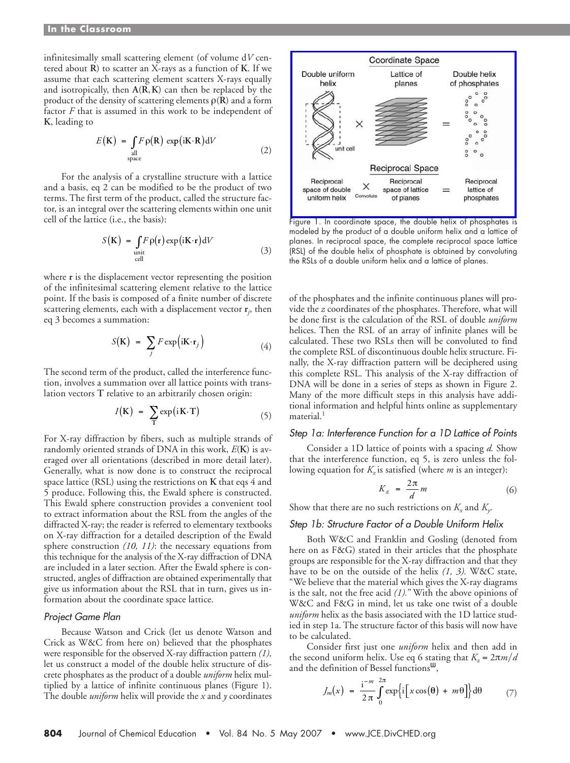infinitesimally small scattering element (of volume d*V* centered about **R**) to scatter an X-rays as a function of **K**. If we assume that each scattering element scatters X-rays equally and isotropically, then **A**(**R**,**K**) can then be replaced by the product of the density of scattering elements ρ(**R**) and a form factor *F* that is assumed in this work to be independent of **K**, leading to

$$
E(\mathbf{K}) = \int_{\text{all} \atop \text{space}} F \rho(\mathbf{R}) \exp(i\mathbf{K} \cdot \mathbf{R}) dV
$$
 (2)

For the analysis of a crystalline structure with a lattice and a basis, eq 2 can be modified to be the product of two terms. The first term of the product, called the structure factor, is an integral over the scattering elements within one unit cell of the lattice (i.e., the basis):

$$
S(\mathbf{K}) = \int_{\text{unit} \atop \text{cell}} F \rho(\mathbf{r}) \exp(i\mathbf{K} \cdot \mathbf{r}) dV
$$
 (3)

where **r** is the displacement vector representing the position of the infinitesimal scattering element relative to the lattice point. If the basis is composed of a finite number of discrete scattering elements, each with a displacement vector  $\mathbf{r}_j$ , then eq 3 becomes a summation:

$$
S(\mathbf{K}) = \sum_{j} F \exp\left(i\mathbf{K} \cdot \mathbf{r}_{j}\right) \tag{4}
$$

The second term of the product, called the interference function, involves a summation over all lattice points with translation vectors **T** relative to an arbitrarily chosen origin:

$$
I(K) = \sum_{T} \exp(iK \cdot T) \tag{5}
$$

For X-ray diffraction by fibers, such as multiple strands of randomly oriented strands of DNA in this work, *E*(**K**) is averaged over all orientations (described in more detail later). Generally, what is now done is to construct the reciprocal space lattice (RSL) using the restrictions on **K** that eqs 4 and 5 produce. Following this, the Ewald sphere is constructed. This Ewald sphere construction provides a convenient tool to extract information about the RSL from the angles of the diffracted X-ray; the reader is referred to elementary textbooks on X-ray diffraction for a detailed description of the Ewald sphere construction *(10, 11)*: the necessary equations from this technique for the analysis of the X-ray diffraction of DNA are included in a later section*.* After the Ewald sphere is constructed, angles of diffraction are obtained experimentally that give us information about the RSL that in turn, gives us information about the coordinate space lattice.

# Project Game Plan

Because Watson and Crick (let us denote Watson and Crick as W&C from here on) believed that the phosphates were responsible for the observed X-ray diffraction pattern *(1),* let us construct a model of the double helix structure of discrete phosphates as the product of a double *uniform* helix multiplied by a lattice of infinite continuous planes (Figure 1). The double *uniform* helix will provide the *x* and *y* coordinates



Figure 1. In coordinate space, the double helix of phosphates is modeled by the product of a double uniform helix and a lattice of planes. In reciprocal space, the complete reciprocal space lattice (RSL) of the double helix of phosphate is obtained by convoluting the RSLs of a double uniform helix and a lattice of planes.

of the phosphates and the infinite continuous planes will provide the *z* coordinates of the phosphates. Therefore, what will be done first is the calculation of the RSL of double *uniform* helices. Then the RSL of an array of infinite planes will be calculated. These two RSLs then will be convoluted to find the complete RSL of discontinuous double helix structure. Finally, the X-ray diffraction pattern will be deciphered using this complete RSL. This analysis of the X-ray diffraction of DNA will be done in a series of steps as shown in Figure 2. Many of the more difficult steps in this analysis have additional information and helpful hints online as supplementary material.<sup>1</sup>

# Step 1a: Interference Function for a 1D Lattice of Points

Consider a 1D lattice of points with a spacing *d.* Show that the interference function, eq 5, is zero unless the following equation for  $K_z$  is satisfied (where *m* is an integer):

$$
K_z = \frac{2\pi}{d}m\tag{6}
$$

Show that there are no such restrictions on  $K_x$  and  $K_y$ .

## Step 1b: Structure Factor of a Double Uniform Helix

Both W&C and Franklin and Gosling (denoted from here on as F&G) stated in their articles that the phosphate groups are responsible for the X-ray diffraction and that they have to be on the outside of the helix *(1, 3).* W&C state, "We believe that the material which gives the X-ray diagrams is the salt, not the free acid *(1).*" With the above opinions of W&C and F&G in mind, let us take one twist of a double *uniform* helix as the basis associated with the 1D lattice studied in step 1a. The structure factor of this basis will now have to be calculated.

Consider first just one *uniform* helix and then add in the second uniform helix. Use eq 6 stating that  $K_z = 2\pi m/d$ and the definition of Bessel functions<sup>w</sup>,

$$
J_m(x) = \frac{i^{-m}}{2\pi} \int_0^{2\pi} \exp\{i\big[x\cos(\theta) + m\theta\big]\} d\theta \qquad (7)
$$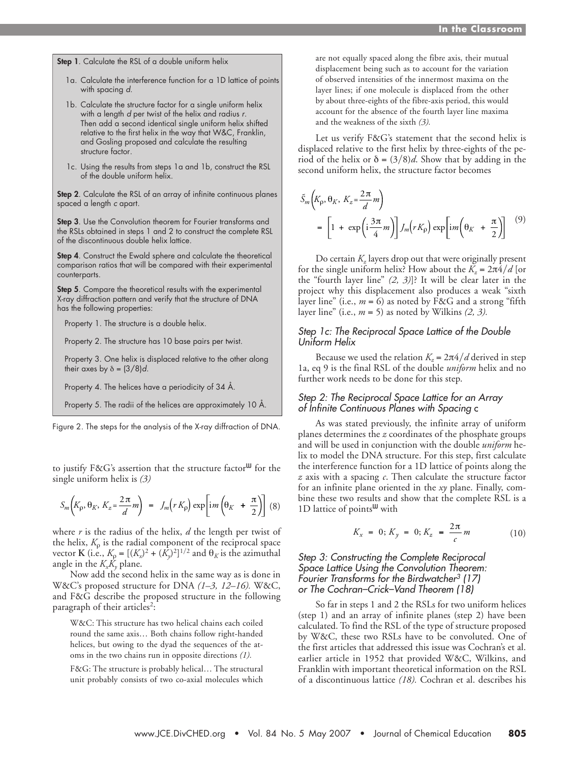**Step 1**. Calculate the RSL of a double uniform helix

- 1a. Calculate the interference function for a 1D lattice of points with spacing *d*.
- 1b. Calculate the structure factor for a single uniform helix with a length *d* per twist of the helix and radius *r*. Then add a second identical single uniform helix shifted relative to the first helix in the way that W&C, Franklin, and Gosling proposed and calculate the resulting structure factor.
- 1c. Using the results from steps 1a and 1b, construct the RSL of the double uniform helix.

**Step 2**. Calculate the RSL of an array of infinite continuous planes spaced a length *c* apart.

**Step 3**. Use the Convolution theorem for Fourier transforms and the RSLs obtained in steps 1 and 2 to construct the complete RSL of the discontinuous double helix lattice.

**Step 4**. Construct the Ewald sphere and calculate the theoretical comparison ratios that will be compared with their experimental counterparts.

**Step 5**. Compare the theoretical results with the experimental X-ray diffraction pattern and verify that the structure of DNA has the following properties:

Property 1. The structure is a double helix.

Property 2. The structure has 10 base pairs per twist.

Property 3. One helix is displaced relative to the other along their axes by δ = (3/8)*d*.

Property 4. The helices have a periodicity of 34 Å.

Property 5. The radii of the helices are approximately 10 Å.

Figure 2. The steps for the analysis of the X-ray diffraction of DNA.

to justify F&G's assertion that the structure factor<sup>W</sup> for the single uniform helix is *(3)*

$$
S_m\left(K_\rho, \theta_K, K_z = \frac{2\pi}{d}m\right) = J_m\left(rK_\rho\right)\exp\left[i m\left(\theta_K + \frac{\pi}{2}\right)\right] \tag{8}
$$

where *r* is the radius of the helix, *d* the length per twist of the helix,  $K_{\rho}$  is the radial component of the reciprocal space vector **K** (i.e.,  $K_{\rho} = [(K_x)^2 + (K_y)^2]^{1/2}$  and  $\theta_K$  is the azimuthal angle in the *KxKy* plane.

Now add the second helix in the same way as is done in W&C's proposed structure for DNA *(1–3, 12–16).* W&C, and F&G describe the proposed structure in the following paragraph of their articles<sup>2</sup>:

W&C: This structure has two helical chains each coiled round the same axis… Both chains follow right-handed helices, but owing to the dyad the sequences of the atoms in the two chains run in opposite directions *(1).*

F&G: The structure is probably helical… The structural unit probably consists of two co-axial molecules which are not equally spaced along the fibre axis, their mutual displacement being such as to account for the variation of observed intensities of the innermost maxima on the layer lines; if one molecule is displaced from the other by about three-eights of the fibre-axis period, this would account for the absence of the fourth layer line maxima and the weakness of the sixth *(3).*

Let us verify F&G's statement that the second helix is displaced relative to the first helix by three-eights of the period of the helix or  $\delta = (3/8)d$ . Show that by adding in the second uniform helix, the structure factor becomes

$$
\tilde{S}_m\left(K_\rho, \theta_K, K_z = \frac{2\pi}{d}m\right)
$$
\n
$$
= \left[1 + \exp\left(i\frac{3\pi}{4}m\right)\right] J_m\left(rK_\rho\right) \exp\left[i m\left(\theta_K + \frac{\pi}{2}\right)\right] \tag{9}
$$

Do certain  $K_z$  layers drop out that were originally present for the single uniform helix? How about the  $K_z = 2\pi 4/d$  [or the "fourth layer line" *(2, 3)*]? It will be clear later in the project why this displacement also produces a weak "sixth layer line" (i.e., *m* = 6) as noted by F&G and a strong "fifth layer line" (i.e., *m* = 5) as noted by Wilkins *(2, 3).*

## Step 1c: The Reciprocal Space Lattice of the Double Uniform Helix

Because we used the relation  $K_z = 2\pi 4/d$  derived in step 1a, eq 9 is the final RSL of the double *uniform* helix and no further work needs to be done for this step.

#### Step 2: The Reciprocal Space Lattice for an Array of Infinite Continuous Planes with Spacing c

As was stated previously, the infinite array of uniform planes determines the *z* coordinates of the phosphate groups and will be used in conjunction with the double *uniform* helix to model the DNA structure. For this step, first calculate the interference function for a 1D lattice of points along the *z* axis with a spacing *c*. Then calculate the structure factor for an infinite plane oriented in the *xy* plane. Finally, combine these two results and show that the complete RSL is a 1D lattice of points<sup>W</sup> with

$$
K_x = 0; K_y = 0; K_z = \frac{2\pi}{c}m \tag{10}
$$

# Step 3: Constructing the Complete Reciprocal Space Lattice Using the Convolution Theorem: Fourier Transforms for the Birdwatcher<sup>3</sup> (17) or The Cochran–Crick–Vand Theorem (18)

So far in steps 1 and 2 the RSLs for two uniform helices (step 1) and an array of infinite planes (step 2) have been calculated. To find the RSL of the type of structure proposed by W&C, these two RSLs have to be convoluted. One of the first articles that addressed this issue was Cochran's et al. earlier article in 1952 that provided W&C, Wilkins, and Franklin with important theoretical information on the RSL of a discontinuous lattice *(18).* Cochran et al. describes his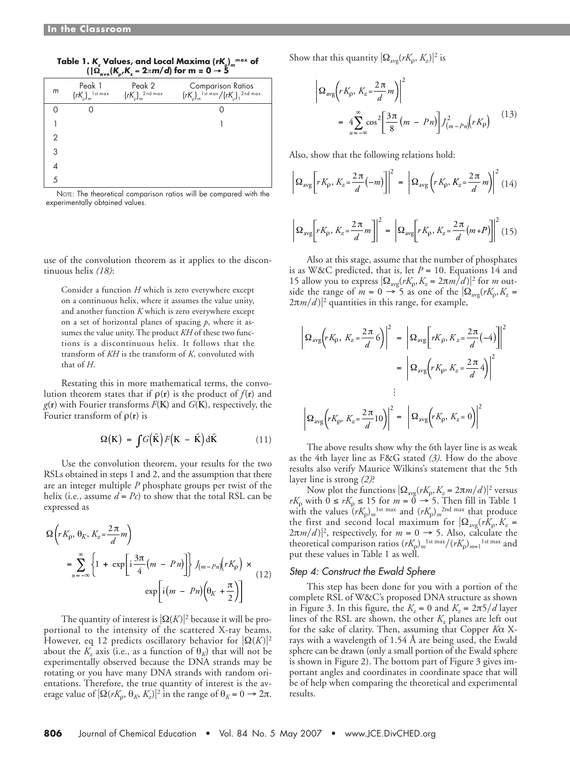|   | $-$                                          | -                                                         |                                                                                                         |
|---|----------------------------------------------|-----------------------------------------------------------|---------------------------------------------------------------------------------------------------------|
| m | Peak 1<br>1st max<br>(rK)<br>$\circ\prime$ m | Peak 2<br>$\left(rK_{_{\rho}}\right)_m{}^{2\,n\,d\,\max}$ | <b>Comparison Ratios</b><br>$(rK_{\rho})_{m}$ <sup>1st max</sup> / $(rK_{\rho})_{1}$ <sup>2nd max</sup> |
| ი |                                              |                                                           |                                                                                                         |
|   |                                              |                                                           |                                                                                                         |
| 2 |                                              |                                                           |                                                                                                         |
| 3 |                                              |                                                           |                                                                                                         |
| 4 |                                              |                                                           |                                                                                                         |
| 5 |                                              |                                                           |                                                                                                         |

|  | Table 1. $K_z$ Values, and Local Maxima (rK <sub>o</sub> ) <sub>m</sub> <sup>max</sup> of |  |
|--|-------------------------------------------------------------------------------------------|--|
|  | $( \Omega_{\text{ave}}(K_{\text{p}},K_{\text{z}}-2\pi m/d) $ for $m=0\rightarrow 5$       |  |

NOTE: The theoretical comparison ratios will be compared with the experimentally obtained values.

use of the convolution theorem as it applies to the discontinuous helix *(18)*:

Consider a function *H* which is zero everywhere except on a continuous helix, where it assumes the value unity, and another function *K* which is zero everywhere except on a set of horizontal planes of spacing *p*, where it assumes the value unity. The product *KH* of these two functions is a discontinuous helix. It follows that the transform of *KH* is the transform of *K*, convoluted with that of *H*.

Restating this in more mathematical terms, the convolution theorem states that if  $\rho(r)$  is the product of  $f(r)$  and *g*(**r**) with Fourier transforms *F*(**K**) and *G*(**K**), respectively, the Fourier transform of ρ(**r**) is

$$
\Omega(K) = \int G(\tilde{K}) F(K - \tilde{K}) d\tilde{K}
$$
 (11)

Use the convolution theorem, your results for the two RSLs obtained in steps 1 and 2, and the assumption that there are an integer multiple *P* phosphate groups per twist of the helix (i.e., assume  $d = Pr$ ) to show that the total RSL can be expressed as

$$
\Omega\left(rK_{\rho}, \theta_{K}, K_{z} = \frac{2\pi}{d}m\right)
$$
\n
$$
= \sum_{n=-\infty}^{\infty} \left\{1 + \exp\left[i\frac{3\pi}{4}(m - Pn)\right]\right\} J_{(m-Pn)}\left(rK_{\rho}\right) \times \exp\left[i(m - Pn)\left(\theta_{K} + \frac{\pi}{2}\right)\right]
$$
\n(12)

The quantity of interest is  $|\Omega(K)|^2$  because it will be proportional to the intensity of the scattered X-ray beams. However, eq 12 predicts oscillatory behavior for  $|\Omega(K)|^2$ about the  $K_z$  axis (i.e., as a function of  $\theta_K$ ) that will not be experimentally observed because the DNA strands may be rotating or you have many DNA strands with random orientations. Therefore, the true quantity of interest is the average value of  $|\Omega(rK_{\rho}, \theta_{K}, K_{z})|^{2}$  in the range of  $\theta_{K} = 0 \rightarrow 2\pi$ .

Show that this quantity  $|\Omega_{\text{avg}}(rK_{\text{p}}, K_{\text{z}})|^2$  is

$$
\left| \Omega_{\text{avg}} \left( r K_{\rho}, K_{z} = \frac{2\pi}{d} m \right) \right|^{2}
$$
  
=  $4 \sum_{n=-\infty}^{\infty} \cos^{2} \left[ \frac{3\pi}{8} (m - Pn) \right] J_{(m - Pn)}^{2} \left( r K_{\rho} \right)$  (13)

Also, show that the following relations hold:

$$
\Omega_{\text{avg}} \left[ r K_{\rho}, K_{z} = \frac{2\pi}{d} (-m) \right] \bigg|^{2} = \left[ \Omega_{\text{avg}} \left( r K_{\rho}, K_{z} = \frac{2\pi}{d} m \right) \right]^{2} (14)
$$

$$
\left|\Omega_{\text{avg}}\left[rK_{\rho}, K_{z} = \frac{2\pi}{d}m\right]\right|^{2} = \left|\Omega_{\text{avg}}\left[rK_{\rho}, K_{z} = \frac{2\pi}{d}\left(m+P\right)\right]\right|^{2} (15)
$$

Also at this stage, assume that the number of phosphates is as W&C predicted, that is, let  $P = 10$ . Equations 14 and 15 allow you to express  $\left| \Omega_{\text{avg}}(rK_p, K_z = 2\pi m/d) \right|^2$  for *m* outside the range of  $m = 0 \rightarrow 5$  as one of the  $\Omega_{avg}(rK_p, K_z)$  $(2\pi m/d)|^2$  quantities in this range, for example,

$$
\left| \Omega_{\text{avg}} \left( rK_{\text{p}}, K_{z} = \frac{2\pi}{d} 6 \right) \right|^{2} = \left| \Omega_{\text{avg}} \left[ rK_{\text{p}}, K_{z} = \frac{2\pi}{d} (-4) \right] \right|^{2}
$$

$$
= \left| \Omega_{\text{avg}} \left( rK_{\text{p}}, K_{z} = \frac{2\pi}{d} 4 \right) \right|^{2}
$$

$$
\vdots
$$

$$
\left| \Omega_{\text{avg}} \left( rK_{\text{p}}, K_{z} = \frac{2\pi}{d} 10 \right) \right|^{2} = \left| \Omega_{\text{avg}} \left( rK_{\text{p}}, K_{z} = 0 \right) \right|^{2}
$$

The above results show why the 6th layer line is as weak as the 4th layer line as F&G stated *(3).* How do the above results also verify Maurice Wilkins's statement that the 5th layer line is strong *(2)*?

Now plot the functions  $\left|\Omega_{\text{avg}}(rK_{\text{p}}, K_{z} = 2\pi m/d)\right|^{2}$  versus *rK*<sub>ρ</sub> with  $0 \le rK_p \le 15$  for  $m = 0 \rightarrow 5$ . Then fill in Table 1 with the values  $(rK_{\rho})_m^{\text{ 1st max}}$  and  $(rK_{\rho})_m^{\text{ 2nd max}}$  that produce the first and second local maximum for  $\Omega_{\text{avg}}(rK_p, K_z)$  $2\pi m/d$ <sup>2</sup>, respectively, for  $m = 0 \rightarrow 5$ . Also, calculate the theoretical comparison ratios  $(rK_{\rho})_{m}^{\text{1st max}}/(rK_{\rho})_{m=1}^{\text{1st max}}$  and put these values in Table 1 as well.

#### Step 4: Construct the Ewald Sphere

This step has been done for you with a portion of the complete RSL of W&C's proposed DNA structure as shown in Figure 3. In this figure, the  $K_z = 0$  and  $K_z = 2\pi/2/d$  layer lines of the RSL are shown, the other *Kz* planes are left out for the sake of clarity. Then, assuming that Copper *K*α Xrays with a wavelength of 1.54 Å are being used, the Ewald sphere can be drawn (only a small portion of the Ewald sphere is shown in Figure 2). The bottom part of Figure 3 gives important angles and coordinates in coordinate space that will be of help when comparing the theoretical and experimental results.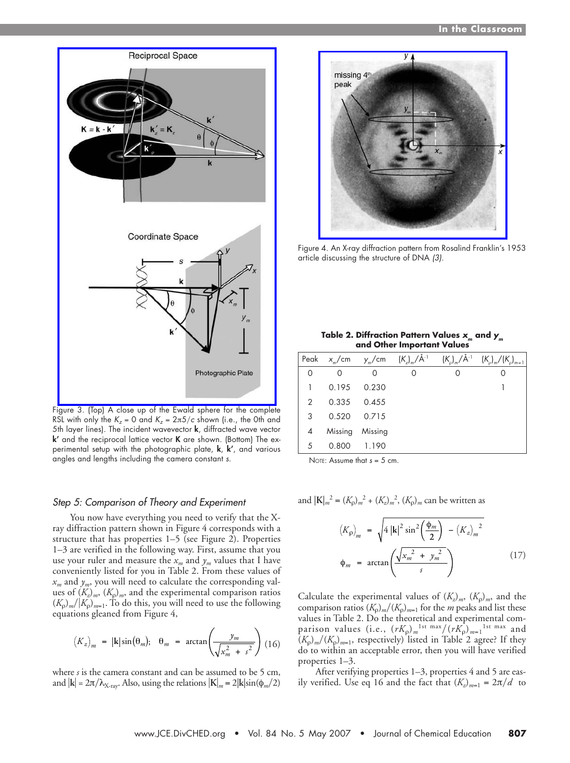

Figure 3. (Top) A close up of the Ewald sphere for the complete RSL with only the  $K_z$  = 0 and  $K_z$  = 2π5/c shown (i.e., the 0th and 5th layer lines). The incident wavevector **k**, diffracted wave vector **k'** and the reciprocal lattice vector **K** are shown. (Bottom) The experimental setup with the photographic plate, **k**, **k'**, and various angles and lengths including the camera constant s.

## Step 5: Comparison of Theory and Experiment

You now have everything you need to verify that the Xray diffraction pattern shown in Figure 4 corresponds with a structure that has properties 1–5 (see Figure 2). Properties 1–3 are verified in the following way. First, assume that you use your ruler and measure the  $x_m$  and  $y_m$  values that I have conveniently listed for you in Table 2. From these values of  $x_m$  and  $y_m$ , you will need to calculate the corresponding values of  $(K_z)$ <sub>*m*</sub>,  $(K_p)$ <sub>*m*</sub>, and the experimental comparison ratios  $(K_p)_m / |K_p|_{m=1}$ . To do this, you will need to use the following equations gleaned from Figure 4,

$$
(K_z)_{m}
$$
 =  $|\mathbf{k}| \sin(\theta_m); \quad \theta_m = \arctan\left(\frac{y_m}{\sqrt{x_m^2 + s^2}}\right)$  (16)

where *s* is the camera constant and can be assumed to be 5 cm, and  $|\mathbf{k}| = 2\pi/\lambda_{X\text{-ray}}$ . Also, using the relations  $|\mathbf{K}|_m = 2|\mathbf{k}|\sin(\phi_m/2)$ 



Figure 4. An X-ray diffraction pattern from Rosalind Franklin's 1953 article discussing the structure of DNA (3).

|               |                 |          | Peak $x_m/cm$ $y_m/cm$ $(K_z)_m/\mathring{A}^{-1}$ | $(K_{\rho})_{m}/\AA^{-1}$ $(K_{\rho})_{m}/(K_{\rho})_{m=1}$ |
|---------------|-----------------|----------|----------------------------------------------------|-------------------------------------------------------------|
| 0             | Ω               | $\Omega$ |                                                    | Ω                                                           |
| 1             | 0.195           | 0.230    |                                                    |                                                             |
| $\mathcal{P}$ | 0.335           | 0.455    |                                                    |                                                             |
| 3             | 0.520           | 0.715    |                                                    |                                                             |
| 4             | Missing Missing |          |                                                    |                                                             |
| 5             | 0.800           | 1.190    |                                                    |                                                             |
|               |                 |          |                                                    |                                                             |

Table 2. Diffraction Pattern Values  $x_m$  and  $y_m$ **and Other Important Values**

NOTE: Assume that  $s = 5$  cm.

and  $|\mathbf{K}|_m^2 = (K_p)_m^2 + (K_z)_m^2$ ,  $(K_p)_m$  can be written as

$$
(K_p)_m = \sqrt{4|\mathbf{k}|^2 \sin^2\left(\frac{\phi_m}{2}\right) - (K_z)_m^2}
$$
  

$$
\phi_m = \arctan\left(\frac{\sqrt{x_m^2 + y_m^2}}{s}\right)
$$
 (17)

Calculate the experimental values of  $(K_z)_{m}$ ,  $(K_o)_{m}$ , and the comparison ratios  $(K_p)_m/(K_p)_{m=1}$  for the  $m$  peaks and list these values in Table 2. Do the theoretical and experimental comparison values (i.e.,  $(rK_{\rho})_{m}^{1 \text{st max}}/(rK_{\rho})_{m=1}^{1 \text{st max}}$  and  $(K_p)_m/(K_p)_{m=1}$ , respectively) listed in Table 2 agree? If they do to within an acceptable error, then you will have verified properties 1–3.

After verifying properties 1–3, properties 4 and 5 are easily verified. Use eq 16 and the fact that  $(K_z)_{m=1} = 2\pi/d$  to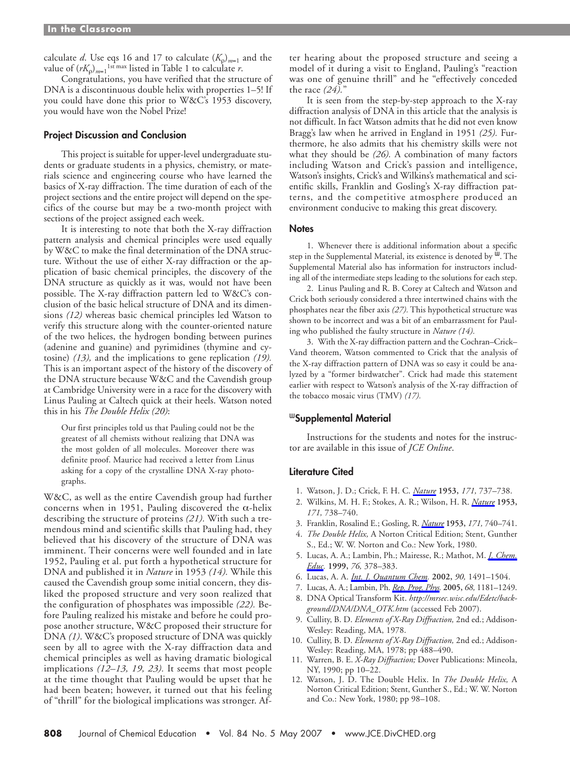calculate *d*. Use eqs 16 and 17 to calculate  $(K_p)_{m=1}$  and the value of  $(rK_p)_{m=1}$ <sup>1st max</sup> listed in Table 1 to calculate *r*.

Congratulations, you have verified that the structure of DNA is a discontinuous double helix with properties 1–5! If you could have done this prior to W&C's 1953 discovery, you would have won the Nobel Prize!

## **Project Discussion and Conclusion**

This project is suitable for upper-level undergraduate students or graduate students in a physics, chemistry, or materials science and engineering course who have learned the basics of X-ray diffraction. The time duration of each of the project sections and the entire project will depend on the specifics of the course but may be a two-month project with sections of the project assigned each week.

It is interesting to note that both the X-ray diffraction pattern analysis and chemical principles were used equally by W&C to make the final determination of the DNA structure. Without the use of either X-ray diffraction or the application of basic chemical principles, the discovery of the DNA structure as quickly as it was, would not have been possible. The X-ray diffraction pattern led to W&C's conclusion of the basic helical structure of DNA and its dimensions *(12)* whereas basic chemical principles led Watson to verify this structure along with the counter-oriented nature of the two helices, the hydrogen bonding between purines (adenine and guanine) and pyrimidines (thymine and cytosine) *(13),* and the implications to gene replication *(19).* This is an important aspect of the history of the discovery of the DNA structure because W&C and the Cavendish group at Cambridge University were in a race for the discovery with Linus Pauling at Caltech quick at their heels. Watson noted this in his *The Double Helix (20)*:

Our first principles told us that Pauling could not be the greatest of all chemists without realizing that DNA was the most golden of all molecules. Moreover there was definite proof. Maurice had received a letter from Linus asking for a copy of the crystalline DNA X-ray photographs.

W&C, as well as the entire Cavendish group had further concerns when in 1951, Pauling discovered the  $\alpha$ -helix describing the structure of proteins *(21).* With such a tremendous mind and scientific skills that Pauling had, they believed that his discovery of the structure of DNA was imminent. Their concerns were well founded and in late 1952, Pauling et al. put forth a hypothetical structure for DNA and published it in *Nature* in 1953 *(14).* While this caused the Cavendish group some initial concern, they disliked the proposed structure and very soon realized that the configuration of phosphates was impossible *(22).* Before Pauling realized his mistake and before he could propose another structure, W&C proposed their structure for DNA *(1)*. W&C's proposed structure of DNA was quickly seen by all to agree with the X-ray diffraction data and chemical principles as well as having dramatic biological implications *(12–13, 19, 23).* It seems that most people at the time thought that Pauling would be upset that he had been beaten; however, it turned out that his feeling of "thrill" for the biological implications was stronger. Af-

ter hearing about the proposed structure and seeing a model of it during a visit to England, Pauling's "reaction was one of genuine thrill" and he "effectively conceded the race *(24).*"

It is seen from the step-by-step approach to the X-ray diffraction analysis of DNA in this article that the analysis is not difficult. In fact Watson admits that he did not even know Bragg's law when he arrived in England in 1951 *(25).* Furthermore, he also admits that his chemistry skills were not what they should be *(26).* A combination of many factors including Watson and Crick's passion and intelligence, Watson's insights, Crick's and Wilkins's mathematical and scientific skills, Franklin and Gosling's X-ray diffraction patterns, and the competitive atmosphere produced an environment conducive to making this great discovery.

## **Notes**

1. Whenever there is additional information about a specific step in the Supplemental Material, its existence is denoted by  $^{\omega}$ . The Supplemental Material also has information for instructors including all of the intermediate steps leading to the solutions for each step.

2. Linus Pauling and R. B. Corey at Caltech and Watson and Crick both seriously considered a three intertwined chains with the phosphates near the fiber axis *(27).* This hypothetical structure was shown to be incorrect and was a bit of an embarrassment for Pauling who published the faulty structure in *Nature (14).*

3. With the X-ray diffraction pattern and the Cochran–Crick– Vand theorem, Watson commented to Crick that the analysis of the X-ray diffraction pattern of DNA was so easy it could be analyzed by a "former birdwatcher". Crick had made this statement earlier with respect to Watson's analysis of the X-ray diffraction of the tobacco mosaic virus (TMV) *(17).*

#### <sup>W</sup>**[Supplemental Material](http://www.jce.divched.org/Journal/Issues/2007/May/abs803.html)**

Instructions for the students and notes for the instructor are available in this issue of *JCE Online*.

#### **Literature Cited**

- 1. Watson, J. D.; Crick, F. H. C. *Nature* **1953,** *171,* 737–738.
- 2. Wilkins, M. H. F.; Stokes, A. R.; Wilson, H. R. *Nature* **1953,** *171,* 738–740.
- 3. Franklin, Rosalind E.; Gosling, R. *Nature* **1953,** *171,* 740–741.
- 4. *The Double Helix,* A Norton Critical Edition; Stent, Gunther S., Ed.; W. W. Norton and Co.: New York, 1980.
- 5. Lucas, A. A.; Lambin, Ph.; Mairesse, R.; Mathot, M. *J. Chem. Educ.* **1999,** *76,* [378–383.](http://www.jce.divched.org/Journal/Issues/1999/Mar/abs378.html)
- 6. Lucas, A. A. *Int. J. Quantum Chem.* **2002,** *90,* 1491–1504.
- 7. Lucas, A. A.; Lambin, Ph. *Rep. Prog. Phys.* **2005,** *68,* 1181–1249.
- 8. DNA Optical Transform Kit. *[http://mrsec.wisc.edu/Edetc/back](http://mrsec.wisc.edu/Edetc/background/DNA/DNA_OTK.htm)[ground/DNA/DNA\\_OTK.htm](http://mrsec.wisc.edu/Edetc/background/DNA/DNA_OTK.htm)* (accessed Feb 2007).
- 9. Cullity, B. D. *Elements of X-Ray Diffraction,* 2nd ed.; Addison-Wesley: Reading, MA, 1978.
- 10. Cullity, B. D. *Elements of X-Ray Diffraction,* 2nd ed.; Addison-Wesley: Reading, MA, 1978; pp 488–490.
- 11. Warren, B. E. *X-Ray Diffraction;* Dover Publications: Mineola, NY, 1990; pp 10–22.
- 12. Watson, J. D. The Double Helix. In *The Double Helix,* A Norton Critical Edition; Stent, Gunther S., Ed.; W. W. Norton and Co.: New York, 1980; pp 98–108.